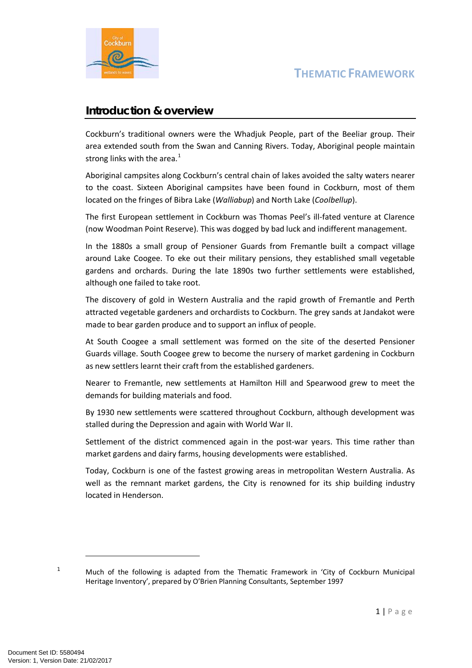

#### **Introduction & overview**

Cockburn's traditional owners were the Whadjuk People, part of the Beeliar group. Their area extended south from the Swan and Canning Rivers. Today, Aboriginal people maintain strong links with the area. $<sup>1</sup>$  $<sup>1</sup>$  $<sup>1</sup>$ </sup>

Aboriginal campsites along Cockburn's central chain of lakes avoided the salty waters nearer to the coast. Sixteen Aboriginal campsites have been found in Cockburn, most of them located on the fringes of Bibra Lake (*Walliabup*) and North Lake (*Coolbellup*).

The first European settlement in Cockburn was Thomas Peel's ill-fated venture at Clarence (now Woodman Point Reserve). This was dogged by bad luck and indifferent management.

In the 1880s a small group of Pensioner Guards from Fremantle built a compact village around Lake Coogee. To eke out their military pensions, they established small vegetable gardens and orchards. During the late 1890s two further settlements were established, although one failed to take root.

The discovery of gold in Western Australia and the rapid growth of Fremantle and Perth attracted vegetable gardeners and orchardists to Cockburn. The grey sands at Jandakot were made to bear garden produce and to support an influx of people.

At South Coogee a small settlement was formed on the site of the deserted Pensioner Guards village. South Coogee grew to become the nursery of market gardening in Cockburn as new settlers learnt their craft from the established gardeners.

Nearer to Fremantle, new settlements at Hamilton Hill and Spearwood grew to meet the demands for building materials and food.

By 1930 new settlements were scattered throughout Cockburn, although development was stalled during the Depression and again with World War II.

Settlement of the district commenced again in the post-war years. This time rather than market gardens and dairy farms, housing developments were established.

Today, Cockburn is one of the fastest growing areas in metropolitan Western Australia. As well as the remnant market gardens, the City is renowned for its ship building industry located in Henderson.

<span id="page-0-0"></span><sup>&</sup>lt;sup>1</sup> Much of the following is adapted from the Thematic Framework in 'City of Cockburn Municipal Heritage Inventory', prepared by O'Brien Planning Consultants, September 1997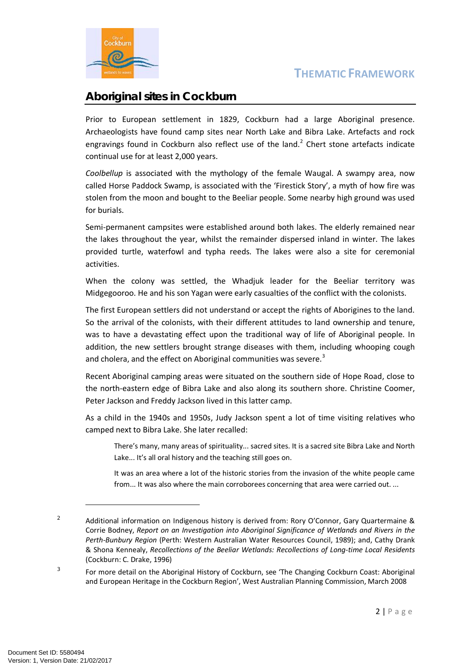

## **Aboriginal sites in Cockburn**

Prior to European settlement in 1829, Cockburn had a large Aboriginal presence. Archaeologists have found camp sites near North Lake and Bibra Lake. Artefacts and rock engravings found in Cockburn also reflect use of the land.<sup>[2](#page-1-0)</sup> Chert stone artefacts indicate continual use for at least 2,000 years.

*Coolbellup* is associated with the mythology of the female Waugal. A swampy area, now called Horse Paddock Swamp, is associated with the 'Firestick Story', a myth of how fire was stolen from the moon and bought to the Beeliar people. Some nearby high ground was used for burials.

Semi-permanent campsites were established around both lakes. The elderly remained near the lakes throughout the year, whilst the remainder dispersed inland in winter. The lakes provided turtle, waterfowl and typha reeds. The lakes were also a site for ceremonial activities.

When the colony was settled, the Whadjuk leader for the Beeliar territory was Midgegooroo. He and his son Yagan were early casualties of the conflict with the colonists.

The first European settlers did not understand or accept the rights of Aborigines to the land. So the arrival of the colonists, with their different attitudes to land ownership and tenure, was to have a devastating effect upon the traditional way of life of Aboriginal people. In addition, the new settlers brought strange diseases with them, including whooping cough and cholera, and the effect on Aboriginal communities was severe.<sup>[3](#page-1-1)</sup>

Recent Aboriginal camping areas were situated on the southern side of Hope Road, close to the north-eastern edge of Bibra Lake and also along its southern shore. Christine Coomer, Peter Jackson and Freddy Jackson lived in this latter camp.

As a child in the 1940s and 1950s, Judy Jackson spent a lot of time visiting relatives who camped next to Bibra Lake. She later recalled:

There's many, many areas of spirituality... sacred sites. It is a sacred site Bibra Lake and North Lake... It's all oral history and the teaching still goes on.

It was an area where a lot of the historic stories from the invasion of the white people came from... It was also where the main corroborees concerning that area were carried out. ...

<span id="page-1-0"></span><sup>&</sup>lt;sup>2</sup> Additional information on Indigenous history is derived from: Rory O'Connor, Gary Quartermaine & Corrie Bodney, *Report on an Investigation into Aboriginal Significance of Wetlands and Rivers in the Perth-Bunbury Region* (Perth: Western Australian Water Resources Council, 1989); and, Cathy Drank & Shona Kennealy, *Recollections of the Beeliar Wetlands: Recollections of Long-time Local Residents* (Cockburn: C. Drake, 1996)

<span id="page-1-1"></span> $3$  For more detail on the Aboriginal History of Cockburn, see 'The Changing Cockburn Coast: Aboriginal and European Heritage in the Cockburn Region', West Australian Planning Commission, March 2008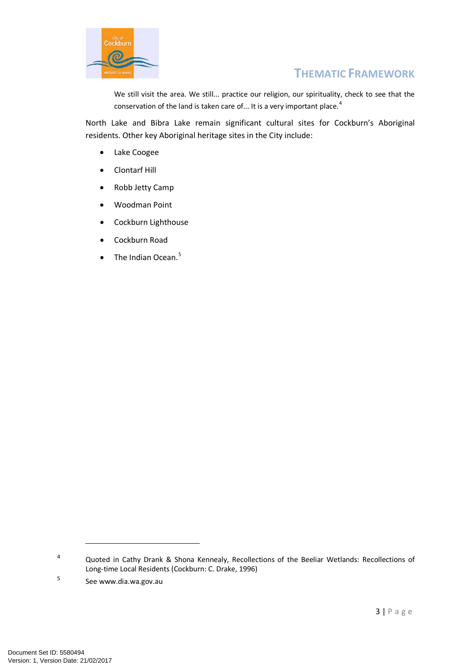

We still visit the area. We still... practice our religion, our spirituality, check to see that the conservation of the land is taken care of... It is a very important place.<sup>[4](#page-2-0)</sup>

North Lake and Bibra Lake remain significant cultural sites for Cockburn's Aboriginal residents. Other key Aboriginal heritage sites in the City include:

- Lake Coogee
- Clontarf Hill
- Robb Jetty Camp
- Woodman Point
- Cockburn Lighthouse
- Cockburn Road
- $\bullet$  The Indian Ocean.<sup>[5](#page-2-1)</sup>

<span id="page-2-0"></span><sup>4</sup> Quoted in Cathy Drank & Shona Kennealy, Recollections of the Beeliar Wetlands: Recollections of Long-time Local Residents (Cockburn: C. Drake, 1996)

<span id="page-2-1"></span><sup>5</sup> See www.dia.wa.gov.au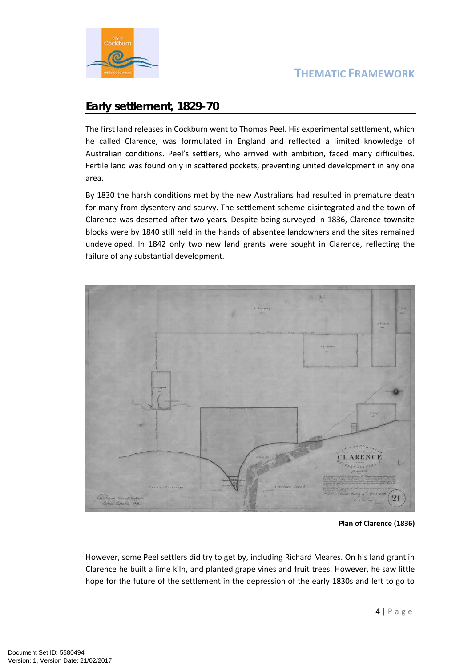

### **Early settlement, 1829-70**

The first land releases in Cockburn went to Thomas Peel. His experimental settlement, which he called Clarence, was formulated in England and reflected a limited knowledge of Australian conditions. Peel's settlers, who arrived with ambition, faced many difficulties. Fertile land was found only in scattered pockets, preventing united development in any one area.

By 1830 the harsh conditions met by the new Australians had resulted in premature death for many from dysentery and scurvy. The settlement scheme disintegrated and the town of Clarence was deserted after two years. Despite being surveyed in 1836, Clarence townsite blocks were by 1840 still held in the hands of absentee landowners and the sites remained undeveloped. In 1842 only two new land grants were sought in Clarence, reflecting the failure of any substantial development.



**Plan of Clarence (1836)**

However, some Peel settlers did try to get by, including Richard Meares. On his land grant in Clarence he built a lime kiln, and planted grape vines and fruit trees. However, he saw little hope for the future of the settlement in the depression of the early 1830s and left to go to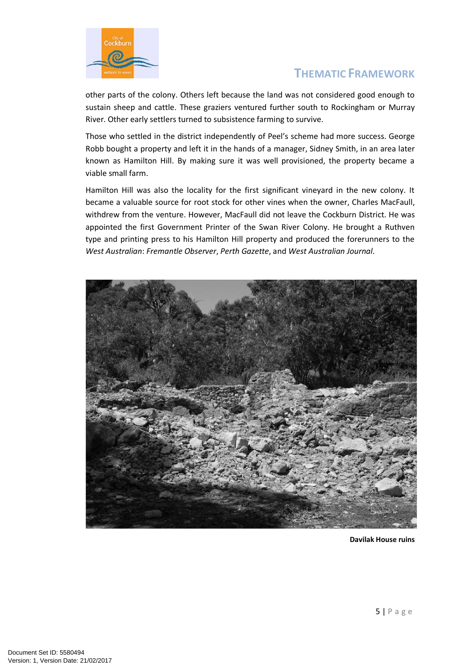

other parts of the colony. Others left because the land was not considered good enough to sustain sheep and cattle. These graziers ventured further south to Rockingham or Murray River. Other early settlers turned to subsistence farming to survive.

Those who settled in the district independently of Peel's scheme had more success. George Robb bought a property and left it in the hands of a manager, Sidney Smith, in an area later known as Hamilton Hill. By making sure it was well provisioned, the property became a viable small farm.

Hamilton Hill was also the locality for the first significant vineyard in the new colony. It became a valuable source for root stock for other vines when the owner, Charles MacFaull, withdrew from the venture. However, MacFaull did not leave the Cockburn District. He was appointed the first Government Printer of the Swan River Colony. He brought a Ruthven type and printing press to his Hamilton Hill property and produced the forerunners to the *West Australian*: *Fremantle Observer*, *Perth Gazette*, and *West Australian Journal*.



**Davilak House ruins**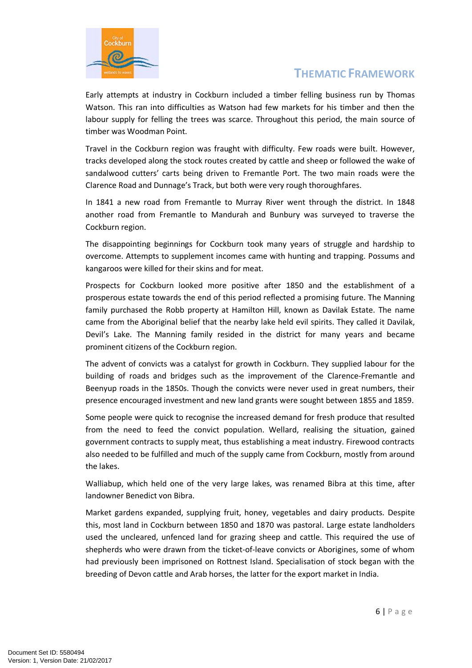

Early attempts at industry in Cockburn included a timber felling business run by Thomas Watson. This ran into difficulties as Watson had few markets for his timber and then the labour supply for felling the trees was scarce. Throughout this period, the main source of timber was Woodman Point.

Travel in the Cockburn region was fraught with difficulty. Few roads were built. However, tracks developed along the stock routes created by cattle and sheep or followed the wake of sandalwood cutters' carts being driven to Fremantle Port. The two main roads were the Clarence Road and Dunnage's Track, but both were very rough thoroughfares.

In 1841 a new road from Fremantle to Murray River went through the district. In 1848 another road from Fremantle to Mandurah and Bunbury was surveyed to traverse the Cockburn region.

The disappointing beginnings for Cockburn took many years of struggle and hardship to overcome. Attempts to supplement incomes came with hunting and trapping. Possums and kangaroos were killed for their skins and for meat.

Prospects for Cockburn looked more positive after 1850 and the establishment of a prosperous estate towards the end of this period reflected a promising future. The Manning family purchased the Robb property at Hamilton Hill, known as Davilak Estate. The name came from the Aboriginal belief that the nearby lake held evil spirits. They called it Davilak, Devil's Lake. The Manning family resided in the district for many years and became prominent citizens of the Cockburn region.

The advent of convicts was a catalyst for growth in Cockburn. They supplied labour for the building of roads and bridges such as the improvement of the Clarence-Fremantle and Beenyup roads in the 1850s. Though the convicts were never used in great numbers, their presence encouraged investment and new land grants were sought between 1855 and 1859.

Some people were quick to recognise the increased demand for fresh produce that resulted from the need to feed the convict population. Wellard, realising the situation, gained government contracts to supply meat, thus establishing a meat industry. Firewood contracts also needed to be fulfilled and much of the supply came from Cockburn, mostly from around the lakes.

Walliabup, which held one of the very large lakes, was renamed Bibra at this time, after landowner Benedict von Bibra.

Market gardens expanded, supplying fruit, honey, vegetables and dairy products. Despite this, most land in Cockburn between 1850 and 1870 was pastoral. Large estate landholders used the uncleared, unfenced land for grazing sheep and cattle. This required the use of shepherds who were drawn from the ticket-of-leave convicts or Aborigines, some of whom had previously been imprisoned on Rottnest Island. Specialisation of stock began with the breeding of Devon cattle and Arab horses, the latter for the export market in India.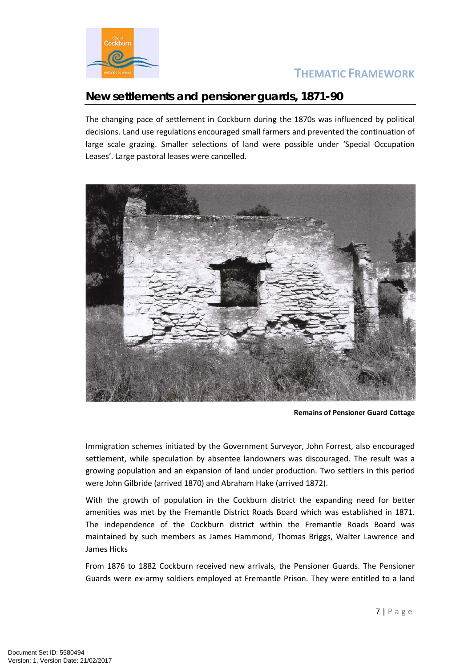

#### **New settlements and pensioner guards, 1871-90**

The changing pace of settlement in Cockburn during the 1870s was influenced by political decisions. Land use regulations encouraged small farmers and prevented the continuation of large scale grazing. Smaller selections of land were possible under 'Special Occupation Leases'. Large pastoral leases were cancelled.



**Remains of Pensioner Guard Cottage**

Immigration schemes initiated by the Government Surveyor, John Forrest, also encouraged settlement, while speculation by absentee landowners was discouraged. The result was a growing population and an expansion of land under production. Two settlers in this period were John Gilbride (arrived 1870) and Abraham Hake (arrived 1872).

With the growth of population in the Cockburn district the expanding need for better amenities was met by the Fremantle District Roads Board which was established in 1871. The independence of the Cockburn district within the Fremantle Roads Board was maintained by such members as James Hammond, Thomas Briggs, Walter Lawrence and James Hicks

From 1876 to 1882 Cockburn received new arrivals, the Pensioner Guards. The Pensioner Guards were ex-army soldiers employed at Fremantle Prison. They were entitled to a land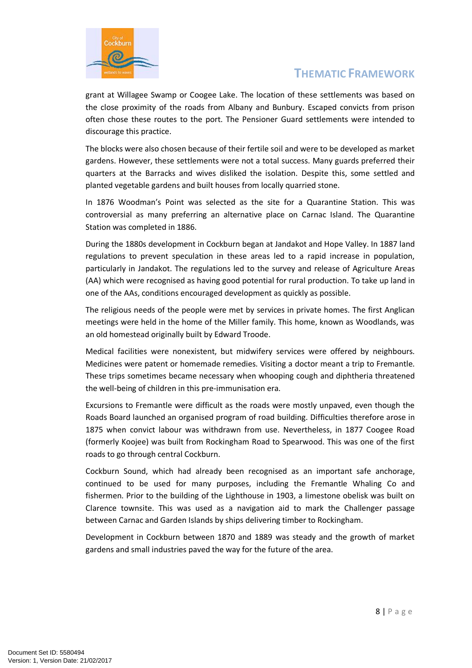

grant at Willagee Swamp or Coogee Lake. The location of these settlements was based on the close proximity of the roads from Albany and Bunbury. Escaped convicts from prison often chose these routes to the port. The Pensioner Guard settlements were intended to discourage this practice.

The blocks were also chosen because of their fertile soil and were to be developed as market gardens. However, these settlements were not a total success. Many guards preferred their quarters at the Barracks and wives disliked the isolation. Despite this, some settled and planted vegetable gardens and built houses from locally quarried stone.

In 1876 Woodman's Point was selected as the site for a Quarantine Station. This was controversial as many preferring an alternative place on Carnac Island. The Quarantine Station was completed in 1886.

During the 1880s development in Cockburn began at Jandakot and Hope Valley. In 1887 land regulations to prevent speculation in these areas led to a rapid increase in population, particularly in Jandakot. The regulations led to the survey and release of Agriculture Areas (AA) which were recognised as having good potential for rural production. To take up land in one of the AAs, conditions encouraged development as quickly as possible.

The religious needs of the people were met by services in private homes. The first Anglican meetings were held in the home of the Miller family. This home, known as Woodlands, was an old homestead originally built by Edward Troode.

Medical facilities were nonexistent, but midwifery services were offered by neighbours. Medicines were patent or homemade remedies. Visiting a doctor meant a trip to Fremantle. These trips sometimes became necessary when whooping cough and diphtheria threatened the well-being of children in this pre-immunisation era.

Excursions to Fremantle were difficult as the roads were mostly unpaved, even though the Roads Board launched an organised program of road building. Difficulties therefore arose in 1875 when convict labour was withdrawn from use. Nevertheless, in 1877 Coogee Road (formerly Koojee) was built from Rockingham Road to Spearwood. This was one of the first roads to go through central Cockburn.

Cockburn Sound, which had already been recognised as an important safe anchorage, continued to be used for many purposes, including the Fremantle Whaling Co and fishermen. Prior to the building of the Lighthouse in 1903, a limestone obelisk was built on Clarence townsite. This was used as a navigation aid to mark the Challenger passage between Carnac and Garden Islands by ships delivering timber to Rockingham.

Development in Cockburn between 1870 and 1889 was steady and the growth of market gardens and small industries paved the way for the future of the area.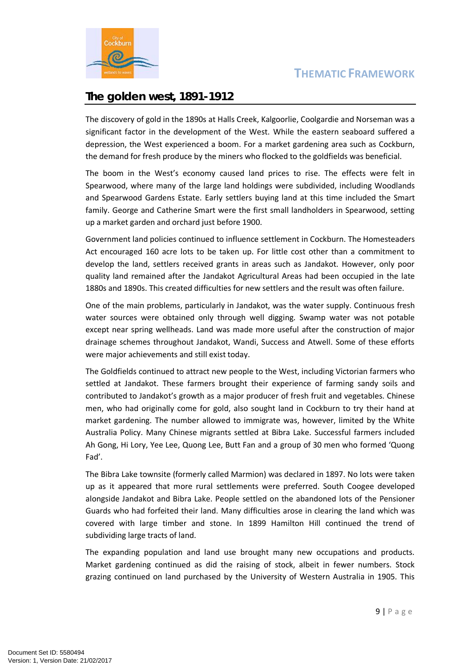

## **The golden west, 1891-1912**

The discovery of gold in the 1890s at Halls Creek, Kalgoorlie, Coolgardie and Norseman was a significant factor in the development of the West. While the eastern seaboard suffered a depression, the West experienced a boom. For a market gardening area such as Cockburn, the demand for fresh produce by the miners who flocked to the goldfields was beneficial.

The boom in the West's economy caused land prices to rise. The effects were felt in Spearwood, where many of the large land holdings were subdivided, including Woodlands and Spearwood Gardens Estate. Early settlers buying land at this time included the Smart family. George and Catherine Smart were the first small landholders in Spearwood, setting up a market garden and orchard just before 1900.

Government land policies continued to influence settlement in Cockburn. The Homesteaders Act encouraged 160 acre lots to be taken up. For little cost other than a commitment to develop the land, settlers received grants in areas such as Jandakot. However, only poor quality land remained after the Jandakot Agricultural Areas had been occupied in the late 1880s and 1890s. This created difficulties for new settlers and the result was often failure.

One of the main problems, particularly in Jandakot, was the water supply. Continuous fresh water sources were obtained only through well digging. Swamp water was not potable except near spring wellheads. Land was made more useful after the construction of major drainage schemes throughout Jandakot, Wandi, Success and Atwell. Some of these efforts were major achievements and still exist today.

The Goldfields continued to attract new people to the West, including Victorian farmers who settled at Jandakot. These farmers brought their experience of farming sandy soils and contributed to Jandakot's growth as a major producer of fresh fruit and vegetables. Chinese men, who had originally come for gold, also sought land in Cockburn to try their hand at market gardening. The number allowed to immigrate was, however, limited by the White Australia Policy. Many Chinese migrants settled at Bibra Lake. Successful farmers included Ah Gong, Hi Lory, Yee Lee, Quong Lee, Butt Fan and a group of 30 men who formed 'Quong Fad'.

The Bibra Lake townsite (formerly called Marmion) was declared in 1897. No lots were taken up as it appeared that more rural settlements were preferred. South Coogee developed alongside Jandakot and Bibra Lake. People settled on the abandoned lots of the Pensioner Guards who had forfeited their land. Many difficulties arose in clearing the land which was covered with large timber and stone. In 1899 Hamilton Hill continued the trend of subdividing large tracts of land.

The expanding population and land use brought many new occupations and products. Market gardening continued as did the raising of stock, albeit in fewer numbers. Stock grazing continued on land purchased by the University of Western Australia in 1905. This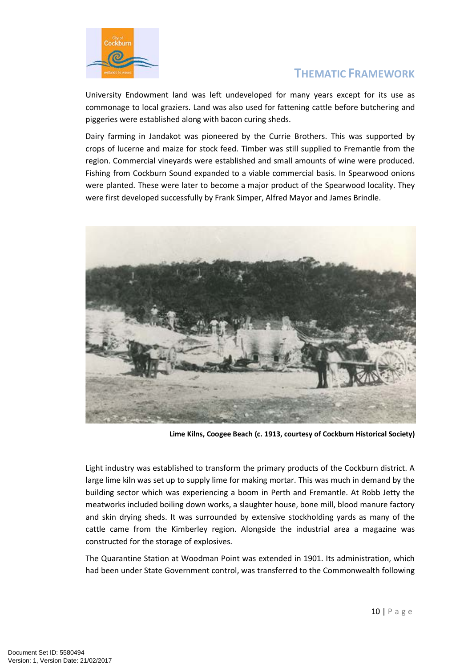

University Endowment land was left undeveloped for many years except for its use as commonage to local graziers. Land was also used for fattening cattle before butchering and piggeries were established along with bacon curing sheds.

Dairy farming in Jandakot was pioneered by the Currie Brothers. This was supported by crops of lucerne and maize for stock feed. Timber was still supplied to Fremantle from the region. Commercial vineyards were established and small amounts of wine were produced. Fishing from Cockburn Sound expanded to a viable commercial basis. In Spearwood onions were planted. These were later to become a major product of the Spearwood locality. They were first developed successfully by Frank Simper, Alfred Mayor and James Brindle.



**Lime Kilns, Coogee Beach (c. 1913, courtesy of Cockburn Historical Society)**

Light industry was established to transform the primary products of the Cockburn district. A large lime kiln was set up to supply lime for making mortar. This was much in demand by the building sector which was experiencing a boom in Perth and Fremantle. At Robb Jetty the meatworks included boiling down works, a slaughter house, bone mill, blood manure factory and skin drying sheds. It was surrounded by extensive stockholding yards as many of the cattle came from the Kimberley region. Alongside the industrial area a magazine was constructed for the storage of explosives.

The Quarantine Station at Woodman Point was extended in 1901. Its administration, which had been under State Government control, was transferred to the Commonwealth following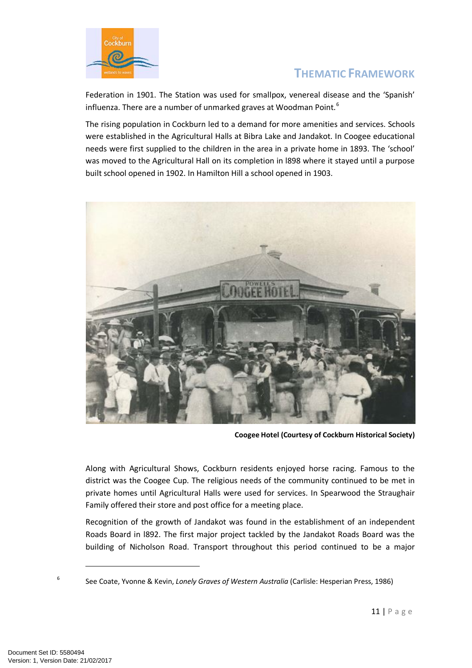

Federation in 1901. The Station was used for smallpox, venereal disease and the 'Spanish' influenza. There are a number of unmarked graves at Woodman Point.<sup>[6](#page-10-0)</sup>

The rising population in Cockburn led to a demand for more amenities and services. Schools were established in the Agricultural Halls at Bibra Lake and Jandakot. In Coogee educational needs were first supplied to the children in the area in a private home in 1893. The 'school' was moved to the Agricultural Hall on its completion in l898 where it stayed until a purpose built school opened in 1902. In Hamilton Hill a school opened in 1903.



**Coogee Hotel (Courtesy of Cockburn Historical Society)**

Along with Agricultural Shows, Cockburn residents enjoyed horse racing. Famous to the district was the Coogee Cup. The religious needs of the community continued to be met in private homes until Agricultural Halls were used for services. In Spearwood the Straughair Family offered their store and post office for a meeting place.

Recognition of the growth of Jandakot was found in the establishment of an independent Roads Board in l892. The first major project tackled by the Jandakot Roads Board was the building of Nicholson Road. Transport throughout this period continued to be a major

<span id="page-10-0"></span><sup>6</sup> See Coate, Yvonne & Kevin, *Lonely Graves of Western Australia* (Carlisle: Hesperian Press, 1986)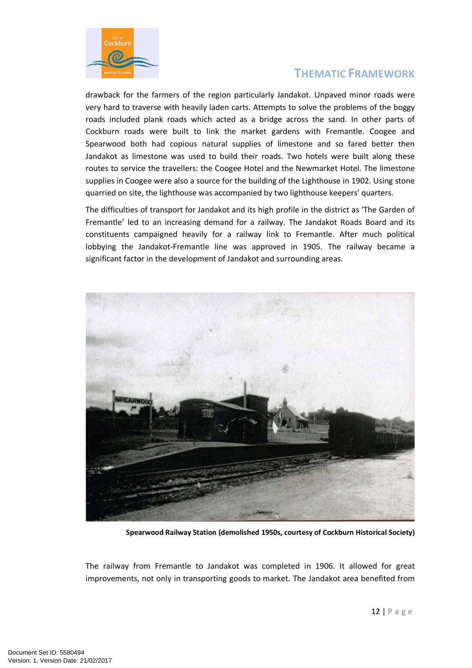

drawback for the farmers of the region particularly Jandakot. Unpaved minor roads were very hard to traverse with heavily laden carts. Attempts to solve the problems of the boggy roads included plank roads which acted as a bridge across the sand. In other parts of Cockburn roads were built to link the market gardens with Fremantle. Coogee and Spearwood both had copious natural supplies of limestone and so fared better then Jandakot as limestone was used to build their roads. Two hotels were built along these routes to service the travellers: the Coogee Hotel and the Newmarket Hotel. The limestone supplies in Coogee were also a source for the building of the Lighthouse in 1902. Using stone quarried on site, the lighthouse was accompanied by two lighthouse keepers' quarters.

The difficulties of transport for Jandakot and its high profile in the district as 'The Garden of Fremantle' led to an increasing demand for a railway. The Jandakot Roads Board and its constituents campaigned heavily for a railway link to Fremantle. After much political lobbying the Jandakot-Fremantle line was approved in 1905. The railway became a significant factor in the development of Jandakot and surrounding areas.



**Spearwood Railway Station (demolished 1950s, courtesy of Cockburn Historical Society)**

The railway from Fremantle to Jandakot was completed in 1906. It allowed for great improvements, not only in transporting goods to market. The Jandakot area benefited from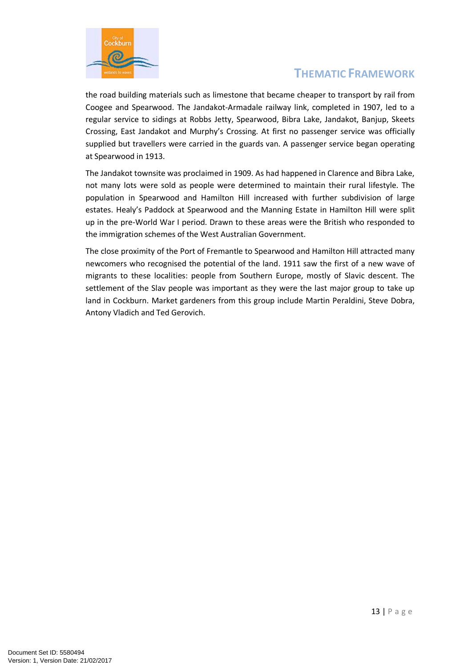

the road building materials such as limestone that became cheaper to transport by rail from Coogee and Spearwood. The Jandakot-Armadale railway link, completed in 1907, led to a regular service to sidings at Robbs Jetty, Spearwood, Bibra Lake, Jandakot, Banjup, Skeets Crossing, East Jandakot and Murphy's Crossing. At first no passenger service was officially supplied but travellers were carried in the guards van. A passenger service began operating at Spearwood in 1913.

The Jandakot townsite was proclaimed in 1909. As had happened in Clarence and Bibra Lake, not many lots were sold as people were determined to maintain their rural lifestyle. The population in Spearwood and Hamilton Hill increased with further subdivision of large estates. Healy's Paddock at Spearwood and the Manning Estate in Hamilton Hill were split up in the pre-World War I period. Drawn to these areas were the British who responded to the immigration schemes of the West Australian Government.

The close proximity of the Port of Fremantle to Spearwood and Hamilton Hill attracted many newcomers who recognised the potential of the land. 1911 saw the first of a new wave of migrants to these localities: people from Southern Europe, mostly of Slavic descent. The settlement of the Slav people was important as they were the last major group to take up land in Cockburn. Market gardeners from this group include Martin Peraldini, Steve Dobra, Antony Vladich and Ted Gerovich.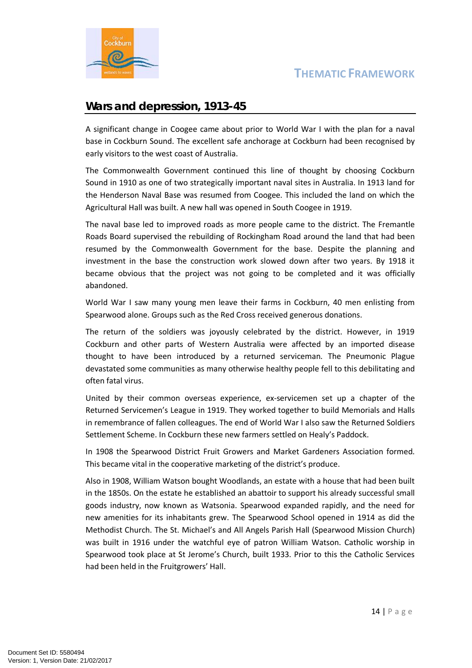

#### **Wars and depression, 1913-45**

A significant change in Coogee came about prior to World War I with the plan for a naval base in Cockburn Sound. The excellent safe anchorage at Cockburn had been recognised by early visitors to the west coast of Australia.

The Commonwealth Government continued this line of thought by choosing Cockburn Sound in 1910 as one of two strategically important naval sites in Australia. In 1913 land for the Henderson Naval Base was resumed from Coogee. This included the land on which the Agricultural Hall was built. A new hall was opened in South Coogee in 1919.

The naval base led to improved roads as more people came to the district. The Fremantle Roads Board supervised the rebuilding of Rockingham Road around the land that had been resumed by the Commonwealth Government for the base. Despite the planning and investment in the base the construction work slowed down after two years. By 1918 it became obvious that the project was not going to be completed and it was officially abandoned.

World War I saw many young men leave their farms in Cockburn, 40 men enlisting from Spearwood alone. Groups such as the Red Cross received generous donations.

The return of the soldiers was joyously celebrated by the district. However, in 1919 Cockburn and other parts of Western Australia were affected by an imported disease thought to have been introduced by a returned serviceman. The Pneumonic Plague devastated some communities as many otherwise healthy people fell to this debilitating and often fatal virus.

United by their common overseas experience, ex-servicemen set up a chapter of the Returned Servicemen's League in 1919. They worked together to build Memorials and Halls in remembrance of fallen colleagues. The end of World War I also saw the Returned Soldiers Settlement Scheme. In Cockburn these new farmers settled on Healy's Paddock.

In 1908 the Spearwood District Fruit Growers and Market Gardeners Association formed. This became vital in the cooperative marketing of the district's produce.

Also in 1908, William Watson bought Woodlands, an estate with a house that had been built in the 1850s. On the estate he established an abattoir to support his already successful small goods industry, now known as Watsonia. Spearwood expanded rapidly, and the need for new amenities for its inhabitants grew. The Spearwood School opened in 1914 as did the Methodist Church. The St. Michael's and All Angels Parish Hall (Spearwood Mission Church) was built in 1916 under the watchful eye of patron William Watson. Catholic worship in Spearwood took place at St Jerome's Church, built 1933. Prior to this the Catholic Services had been held in the Fruitgrowers' Hall.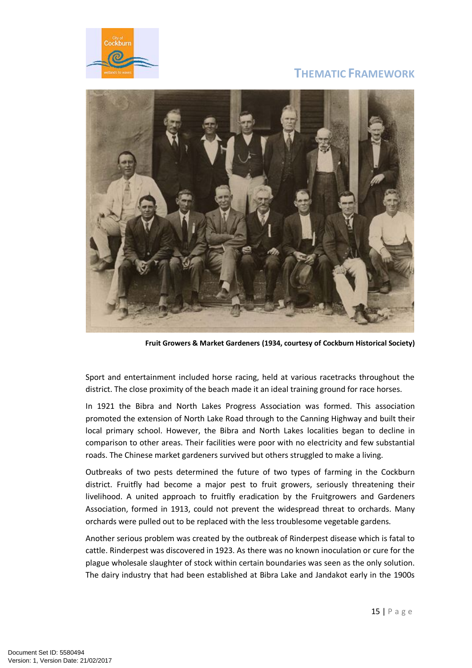



**Fruit Growers & Market Gardeners (1934, courtesy of Cockburn Historical Society)**

Sport and entertainment included horse racing, held at various racetracks throughout the district. The close proximity of the beach made it an ideal training ground for race horses.

In 1921 the Bibra and North Lakes Progress Association was formed. This association promoted the extension of North Lake Road through to the Canning Highway and built their local primary school. However, the Bibra and North Lakes localities began to decline in comparison to other areas. Their facilities were poor with no electricity and few substantial roads. The Chinese market gardeners survived but others struggled to make a living.

Outbreaks of two pests determined the future of two types of farming in the Cockburn district. Fruitfly had become a major pest to fruit growers, seriously threatening their livelihood. A united approach to fruitfly eradication by the Fruitgrowers and Gardeners Association, formed in 1913, could not prevent the widespread threat to orchards. Many orchards were pulled out to be replaced with the less troublesome vegetable gardens.

Another serious problem was created by the outbreak of Rinderpest disease which is fatal to cattle. Rinderpest was discovered in 1923. As there was no known inoculation or cure for the plague wholesale slaughter of stock within certain boundaries was seen as the only solution. The dairy industry that had been established at Bibra Lake and Jandakot early in the 1900s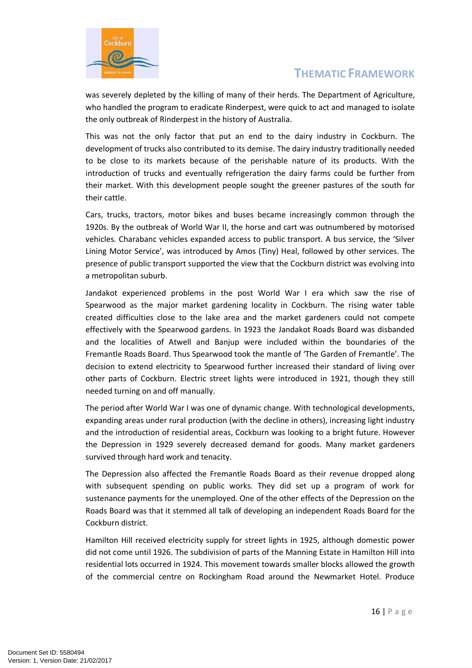

was severely depleted by the killing of many of their herds. The Department of Agriculture, who handled the program to eradicate Rinderpest, were quick to act and managed to isolate the only outbreak of Rinderpest in the history of Australia.

This was not the only factor that put an end to the dairy industry in Cockburn. The development of trucks also contributed to its demise. The dairy industry traditionally needed to be close to its markets because of the perishable nature of its products. With the introduction of trucks and eventually refrigeration the dairy farms could be further from their market. With this development people sought the greener pastures of the south for their cattle.

Cars, trucks, tractors, motor bikes and buses became increasingly common through the 1920s. By the outbreak of World War II, the horse and cart was outnumbered by motorised vehicles. Charabanc vehicles expanded access to public transport. A bus service, the 'Silver Lining Motor Service', was introduced by Amos (Tiny) Heal, followed by other services. The presence of public transport supported the view that the Cockburn district was evolving into a metropolitan suburb.

Jandakot experienced problems in the post World War I era which saw the rise of Spearwood as the major market gardening locality in Cockburn. The rising water table created difficulties close to the lake area and the market gardeners could not compete effectively with the Spearwood gardens. In 1923 the Jandakot Roads Board was disbanded and the localities of Atwell and Banjup were included within the boundaries of the Fremantle Roads Board. Thus Spearwood took the mantle of 'The Garden of Fremantle'. The decision to extend electricity to Spearwood further increased their standard of living over other parts of Cockburn. Electric street lights were introduced in 1921, though they still needed turning on and off manually.

The period after World War I was one of dynamic change. With technological developments, expanding areas under rural production (with the decline in others), increasing light industry and the introduction of residential areas, Cockburn was looking to a bright future. However the Depression in 1929 severely decreased demand for goods. Many market gardeners survived through hard work and tenacity.

The Depression also affected the Fremantle Roads Board as their revenue dropped along with subsequent spending on public works. They did set up a program of work for sustenance payments for the unemployed. One of the other effects of the Depression on the Roads Board was that it stemmed all talk of developing an independent Roads Board for the Cockburn district.

Hamilton Hill received electricity supply for street lights in 1925, although domestic power did not come until 1926. The subdivision of parts of the Manning Estate in Hamilton Hill into residential lots occurred in 1924. This movement towards smaller blocks allowed the growth of the commercial centre on Rockingham Road around the Newmarket Hotel. Produce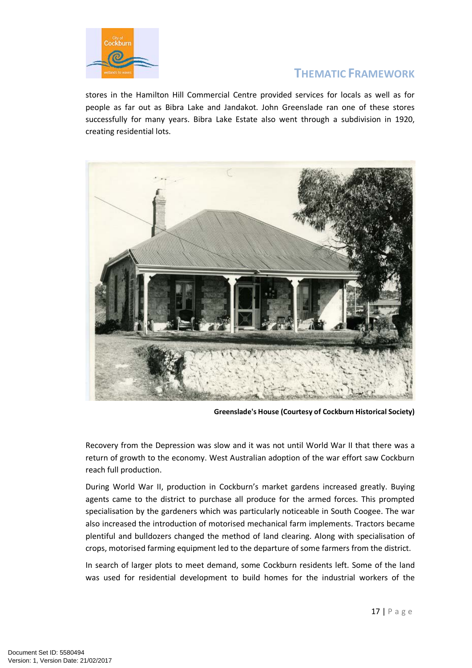

stores in the Hamilton Hill Commercial Centre provided services for locals as well as for people as far out as Bibra Lake and Jandakot. John Greenslade ran one of these stores successfully for many years. Bibra Lake Estate also went through a subdivision in 1920, creating residential lots.



**Greenslade's House (Courtesy of Cockburn Historical Society)**

Recovery from the Depression was slow and it was not until World War II that there was a return of growth to the economy. West Australian adoption of the war effort saw Cockburn reach full production.

During World War II, production in Cockburn's market gardens increased greatly. Buying agents came to the district to purchase all produce for the armed forces. This prompted specialisation by the gardeners which was particularly noticeable in South Coogee. The war also increased the introduction of motorised mechanical farm implements. Tractors became plentiful and bulldozers changed the method of land clearing. Along with specialisation of crops, motorised farming equipment led to the departure of some farmers from the district.

In search of larger plots to meet demand, some Cockburn residents left. Some of the land was used for residential development to build homes for the industrial workers of the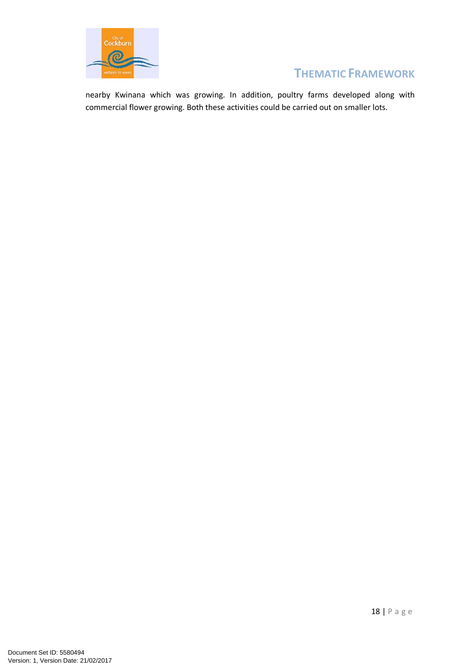

nearby Kwinana which was growing. In addition, poultry farms developed along with commercial flower growing. Both these activities could be carried out on smaller lots.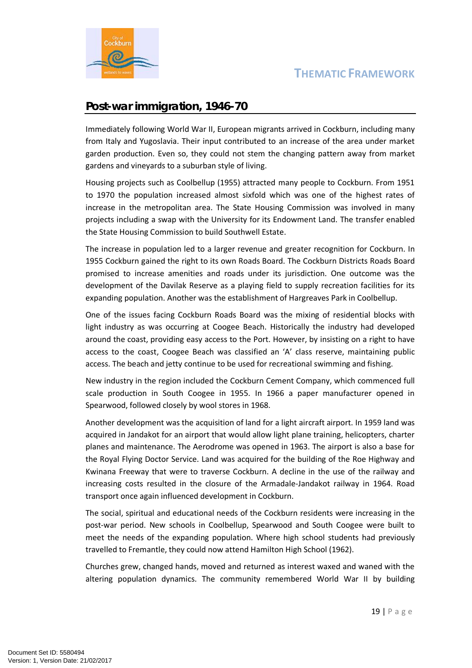

### **Post-war immigration, 1946-70**

Immediately following World War II, European migrants arrived in Cockburn, including many from Italy and Yugoslavia. Their input contributed to an increase of the area under market garden production. Even so, they could not stem the changing pattern away from market gardens and vineyards to a suburban style of living.

Housing projects such as Coolbellup (1955) attracted many people to Cockburn. From 1951 to 1970 the population increased almost sixfold which was one of the highest rates of increase in the metropolitan area. The State Housing Commission was involved in many projects including a swap with the University for its Endowment Land. The transfer enabled the State Housing Commission to build Southwell Estate.

The increase in population led to a larger revenue and greater recognition for Cockburn. In 1955 Cockburn gained the right to its own Roads Board. The Cockburn Districts Roads Board promised to increase amenities and roads under its jurisdiction. One outcome was the development of the Davilak Reserve as a playing field to supply recreation facilities for its expanding population. Another was the establishment of Hargreaves Park in Coolbellup.

One of the issues facing Cockburn Roads Board was the mixing of residential blocks with light industry as was occurring at Coogee Beach. Historically the industry had developed around the coast, providing easy access to the Port. However, by insisting on a right to have access to the coast, Coogee Beach was classified an 'A' class reserve, maintaining public access. The beach and jetty continue to be used for recreational swimming and fishing.

New industry in the region included the Cockburn Cement Company, which commenced full scale production in South Coogee in 1955. In 1966 a paper manufacturer opened in Spearwood, followed closely by wool stores in 1968.

Another development was the acquisition of land for a light aircraft airport. In 1959 land was acquired in Jandakot for an airport that would allow light plane training, helicopters, charter planes and maintenance. The Aerodrome was opened in 1963. The airport is also a base for the Royal Flying Doctor Service. Land was acquired for the building of the Roe Highway and Kwinana Freeway that were to traverse Cockburn. A decline in the use of the railway and increasing costs resulted in the closure of the Armadale-Jandakot railway in 1964. Road transport once again influenced development in Cockburn.

The social, spiritual and educational needs of the Cockburn residents were increasing in the post-war period. New schools in Coolbellup, Spearwood and South Coogee were built to meet the needs of the expanding population. Where high school students had previously travelled to Fremantle, they could now attend Hamilton High School (1962).

Churches grew, changed hands, moved and returned as interest waxed and waned with the altering population dynamics. The community remembered World War II by building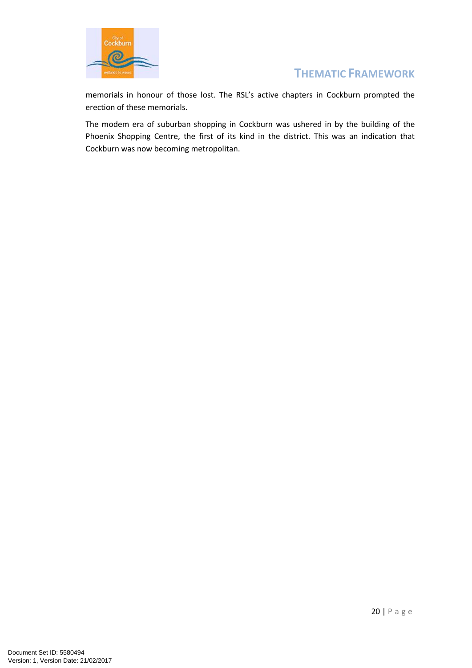

memorials in honour of those lost. The RSL's active chapters in Cockburn prompted the erection of these memorials.

The modem era of suburban shopping in Cockburn was ushered in by the building of the Phoenix Shopping Centre, the first of its kind in the district. This was an indication that Cockburn was now becoming metropolitan.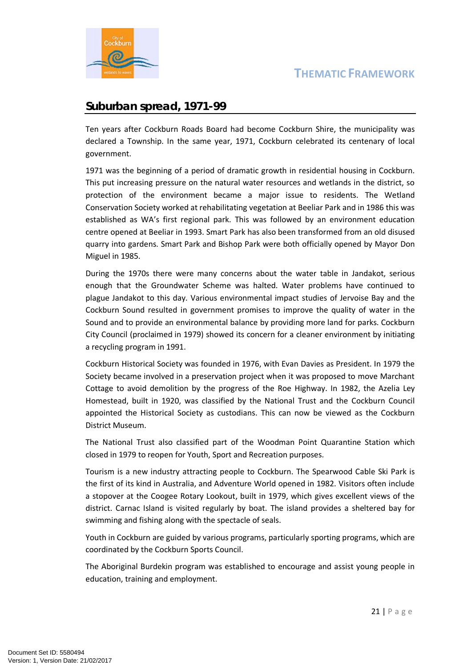

#### **Suburban spread, 1971-99**

Ten years after Cockburn Roads Board had become Cockburn Shire, the municipality was declared a Township. In the same year, 1971, Cockburn celebrated its centenary of local government.

1971 was the beginning of a period of dramatic growth in residential housing in Cockburn. This put increasing pressure on the natural water resources and wetlands in the district, so protection of the environment became a major issue to residents. The Wetland Conservation Society worked at rehabilitating vegetation at Beeliar Park and in 1986 this was established as WA's first regional park. This was followed by an environment education centre opened at Beeliar in 1993. Smart Park has also been transformed from an old disused quarry into gardens. Smart Park and Bishop Park were both officially opened by Mayor Don Miguel in 1985.

During the 1970s there were many concerns about the water table in Jandakot, serious enough that the Groundwater Scheme was halted. Water problems have continued to plague Jandakot to this day. Various environmental impact studies of Jervoise Bay and the Cockburn Sound resulted in government promises to improve the quality of water in the Sound and to provide an environmental balance by providing more land for parks. Cockburn City Council (proclaimed in 1979) showed its concern for a cleaner environment by initiating a recycling program in 1991.

Cockburn Historical Society was founded in 1976, with Evan Davies as President. In 1979 the Society became involved in a preservation project when it was proposed to move Marchant Cottage to avoid demolition by the progress of the Roe Highway. In 1982, the Azelia Ley Homestead, built in 1920, was classified by the National Trust and the Cockburn Council appointed the Historical Society as custodians. This can now be viewed as the Cockburn District Museum.

The National Trust also classified part of the Woodman Point Quarantine Station which closed in 1979 to reopen for Youth, Sport and Recreation purposes.

Tourism is a new industry attracting people to Cockburn. The Spearwood Cable Ski Park is the first of its kind in Australia, and Adventure World opened in 1982. Visitors often include a stopover at the Coogee Rotary Lookout, built in 1979, which gives excellent views of the district. Carnac Island is visited regularly by boat. The island provides a sheltered bay for swimming and fishing along with the spectacle of seals.

Youth in Cockburn are guided by various programs, particularly sporting programs, which are coordinated by the Cockburn Sports Council.

The Aboriginal Burdekin program was established to encourage and assist young people in education, training and employment.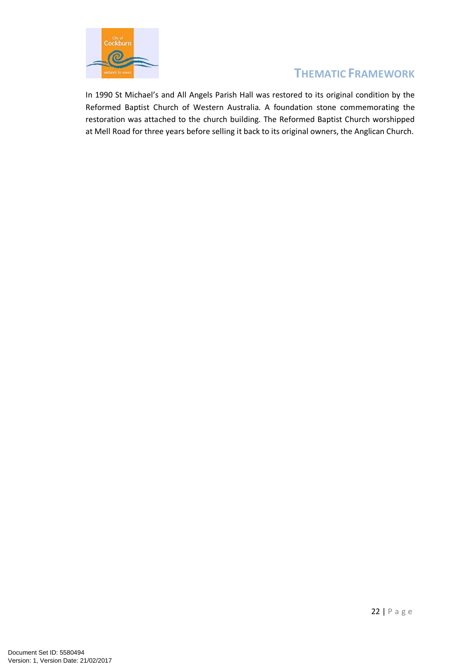

In 1990 St Michael's and All Angels Parish Hall was restored to its original condition by the Reformed Baptist Church of Western Australia. A foundation stone commemorating the restoration was attached to the church building. The Reformed Baptist Church worshipped at Mell Road for three years before selling it back to its original owners, the Anglican Church.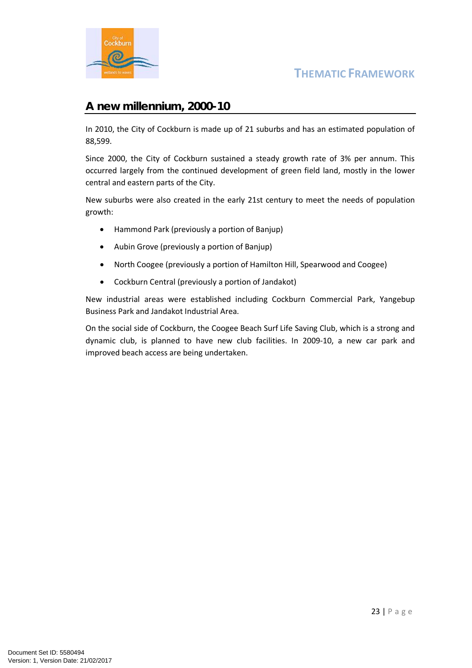

#### **A new millennium, 2000-10**

In 2010, the City of Cockburn is made up of 21 suburbs and has an estimated population of 88,599.

Since 2000, the City of Cockburn sustained a steady growth rate of 3% per annum. This occurred largely from the continued development of green field land, mostly in the lower central and eastern parts of the City.

New suburbs were also created in the early 21st century to meet the needs of population growth:

- Hammond Park (previously a portion of Banjup)
- Aubin Grove (previously a portion of Banjup)
- North Coogee (previously a portion of Hamilton Hill, Spearwood and Coogee)
- Cockburn Central (previously a portion of Jandakot)

New industrial areas were established including Cockburn Commercial Park, Yangebup Business Park and Jandakot Industrial Area.

On the social side of Cockburn, the Coogee Beach Surf Life Saving Club, which is a strong and dynamic club, is planned to have new club facilities. In 2009-10, a new car park and improved beach access are being undertaken.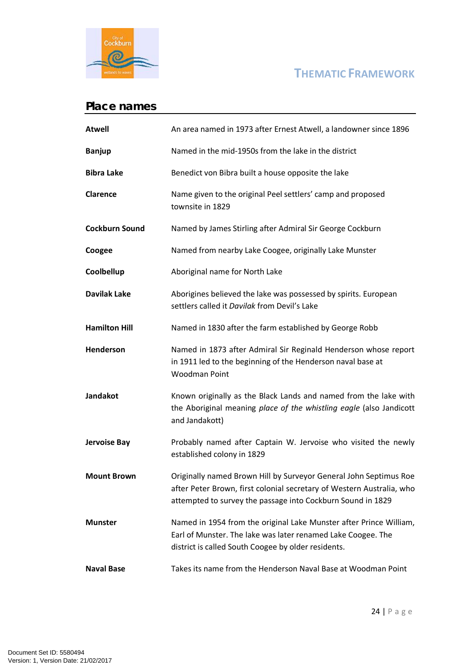

## **Place names**

| <b>Atwell</b>         | An area named in 1973 after Ernest Atwell, a landowner since 1896                                                                                                                                         |  |  |  |  |  |
|-----------------------|-----------------------------------------------------------------------------------------------------------------------------------------------------------------------------------------------------------|--|--|--|--|--|
| <b>Banjup</b>         | Named in the mid-1950s from the lake in the district                                                                                                                                                      |  |  |  |  |  |
| <b>Bibra Lake</b>     | Benedict von Bibra built a house opposite the lake                                                                                                                                                        |  |  |  |  |  |
| <b>Clarence</b>       | Name given to the original Peel settlers' camp and proposed<br>townsite in 1829                                                                                                                           |  |  |  |  |  |
| <b>Cockburn Sound</b> | Named by James Stirling after Admiral Sir George Cockburn                                                                                                                                                 |  |  |  |  |  |
| Coogee                | Named from nearby Lake Coogee, originally Lake Munster                                                                                                                                                    |  |  |  |  |  |
| Coolbellup            | Aboriginal name for North Lake                                                                                                                                                                            |  |  |  |  |  |
| <b>Davilak Lake</b>   | Aborigines believed the lake was possessed by spirits. European<br>settlers called it Davilak from Devil's Lake                                                                                           |  |  |  |  |  |
| <b>Hamilton Hill</b>  | Named in 1830 after the farm established by George Robb                                                                                                                                                   |  |  |  |  |  |
| <b>Henderson</b>      | Named in 1873 after Admiral Sir Reginald Henderson whose report<br>in 1911 led to the beginning of the Henderson naval base at<br><b>Woodman Point</b>                                                    |  |  |  |  |  |
| <b>Jandakot</b>       | Known originally as the Black Lands and named from the lake with<br>the Aboriginal meaning place of the whistling eagle (also Jandicott<br>and Jandakott)                                                 |  |  |  |  |  |
| Jervoise Bay          | Probably named after Captain W. Jervoise who visited the newly<br>established colony in 1829                                                                                                              |  |  |  |  |  |
| <b>Mount Brown</b>    | Originally named Brown Hill by Surveyor General John Septimus Roe<br>after Peter Brown, first colonial secretary of Western Australia, who<br>attempted to survey the passage into Cockburn Sound in 1829 |  |  |  |  |  |
| Munster               | Named in 1954 from the original Lake Munster after Prince William,<br>Earl of Munster. The lake was later renamed Lake Coogee. The<br>district is called South Coogee by older residents.                 |  |  |  |  |  |
| <b>Naval Base</b>     | Takes its name from the Henderson Naval Base at Woodman Point                                                                                                                                             |  |  |  |  |  |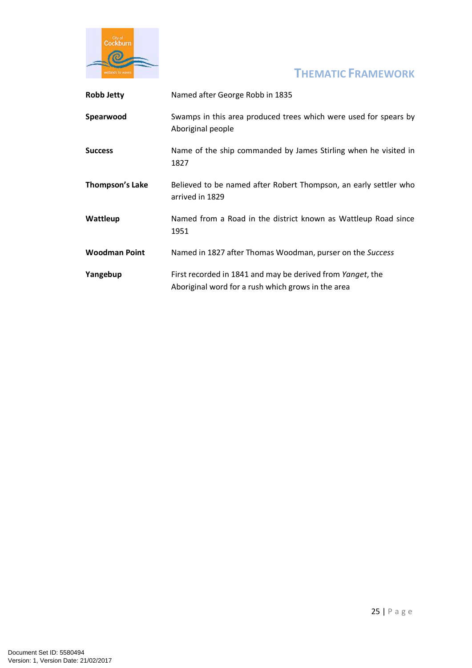

| <b>Robb Jetty</b>    | Named after George Robb in 1835                                                                                  |  |  |  |  |  |
|----------------------|------------------------------------------------------------------------------------------------------------------|--|--|--|--|--|
| Spearwood            | Swamps in this area produced trees which were used for spears by<br>Aboriginal people                            |  |  |  |  |  |
| <b>Success</b>       | Name of the ship commanded by James Stirling when he visited in<br>1827                                          |  |  |  |  |  |
| Thompson's Lake      | Believed to be named after Robert Thompson, an early settler who<br>arrived in 1829                              |  |  |  |  |  |
| Wattleup             | Named from a Road in the district known as Wattleup Road since<br>1951                                           |  |  |  |  |  |
| <b>Woodman Point</b> | Named in 1827 after Thomas Woodman, purser on the Success                                                        |  |  |  |  |  |
| Yangebup             | First recorded in 1841 and may be derived from Yanget, the<br>Aboriginal word for a rush which grows in the area |  |  |  |  |  |